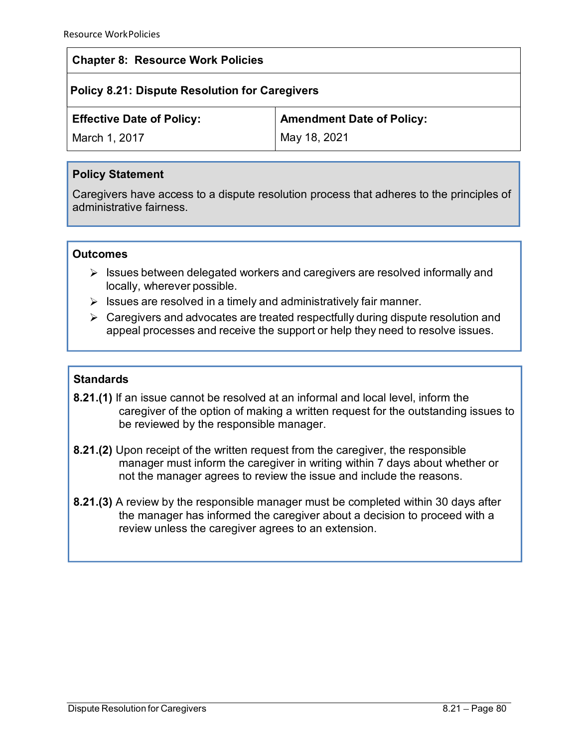## Chapter 8: Resource Work Policies

# Policy 8.21: Dispute Resolution for Caregivers

| <b>Chapter 8: Resource Work Policies</b><br><b>Policy 8.21: Dispute Resolution for Caregivers</b> |                                                                                                                                                                  |
|---------------------------------------------------------------------------------------------------|------------------------------------------------------------------------------------------------------------------------------------------------------------------|
|                                                                                                   |                                                                                                                                                                  |
| March 1, 2017                                                                                     | May 18, 2021                                                                                                                                                     |
| <b>Policy Statement</b>                                                                           |                                                                                                                                                                  |
| administrative fairness.                                                                          | Caregivers have access to a dispute resolution process that adheres to the principles of                                                                         |
| <b>Outcomes</b>                                                                                   |                                                                                                                                                                  |
| ➤<br>locally, wherever possible.                                                                  | Issues between delegated workers and caregivers are resolved informally and                                                                                      |
| Issues are resolved in a timely and administratively fair manner.<br>➤                            |                                                                                                                                                                  |
| ➤                                                                                                 | Caregivers and advocates are treated respectfully during dispute resolution and<br>appeal processes and receive the support or help they need to resolve issues. |
|                                                                                                   |                                                                                                                                                                  |
| <b>Standards</b>                                                                                  |                                                                                                                                                                  |

## Policy Statement

#### **Outcomes**

- $\triangleright$  Issues between delegated workers and caregivers are resolved informally and
- 
- 

### **Standards**

- 8.21.(1) If an issue cannot be resolved at an informal and local level, inform the caregiver of the option of making a written request for the outstanding issues to be reviewed by the responsible manager.
- 8.21.(2) Upon receipt of the written request from the caregiver, the responsible manager must inform the caregiver in writing within 7 days about whether or not the manager agrees to review the issue and include the reasons.
- 8.21.(3) A review by the responsible manager must be completed within 30 days after the manager has informed the caregiver about a decision to proceed with a review unless the caregiver agrees to an extension.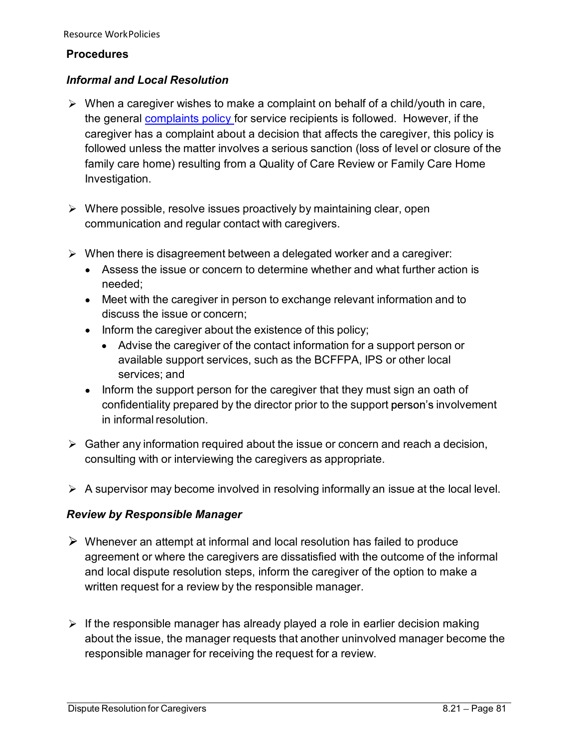#### **Procedures**

## Informal and Local Resolution

- $\triangleright$  When a caregiver wishes to make a complaint on behalf of a child/youth in care, the general complaints policy for service recipients is followed. However, if the caregiver has a complaint about a decision that affects the caregiver, this policy is urce WorkPolicies<br>**cedures**<br>**ormal and Local Resolution**<br>When a caregiver wishes to make a complaint on behalf of a child/youth in care,<br>the general <u>complaints policy</u> for service recipients is followed. However, if the<br>c family care home) resulting from a Quality of Care Review or Family Care Home Investigation. urce WorkPolicies<br> **codures**<br> **ording and Local Resolution**<br>
When a caregiver wishes to make a complaint on behalf of a child/youth in care,<br>
the general <u>complaints policy</u> for service recipients is followed. However, if urce WorkPolicies<br> **cedures**<br> **ormal and Local Resolution**<br>
When a caregiver wishes to make a complaint on behalf of a child/youth in care,<br>
the general <u>complaints policy</u> for service recipients is followed. However, if t Inform a caregiver wishes to make a complaint on behalf of a child/youth in care,<br>When a caregiver wishes to make a complaint about a decision that affects the caregiver, this policy is<br>aregiver has a complaint about a dec m a caregiver wishes to make a complaint on behalf of a child/youth in care,<br>giveral complaints policy for service recipients is followed. However, if the<br>giver has a complaint about a decision that affects the caregiver,
- $\triangleright$  Where possible, resolve issues proactively by maintaining clear, open
- - Assess the issue or concern to determine whether and what further action is needed;
	- Meet with the caregiver in person to exchange relevant information and to discuss the issue or concern;
	- - available support services, such as the BCFFPA, IPS or other local services; and
- Inform the support person for the caregiver that they must sign an oath of confidentiality prepared by the director prior to the support person's involvement estigation.<br>
ere possible, resolve issues proactively by maintaining clear, open<br>
munnication and regular contact with caregivers.<br>
en there is disagreement between a delegated worker and a caregiver:<br>
Assess the issue or Where possible, resolve issues proactively by maintaining clear, open<br>
communication and regular contact with caregivers.<br>
When there is disagreement between a delegated worker and a caregiver:<br>
• Assess the issue or conce
- consulting with or interviewing the caregivers as appropriate.
- $\triangleright$  A supervisor may become involved in resolving informally an issue at the local level.

### Review by Responsible Manager

- $\triangleright$  Whenever an attempt at informal and local resolution has failed to produce agreement or where the caregivers are dissatisfied with the outcome of the informal and local dispute resolution steps, inform the caregiver of the option to make a written request for a review by the responsible manager. Confidentiality prepared by the director prior to the support person's involvement<br>in informal resolution.<br>Cather any information required about the issue or concern and reach a decision,<br>consulting with or interviewing th
- $\triangleright$  If the responsible manager has already played a role in earlier decision making responsible manager for receiving the request for a review.